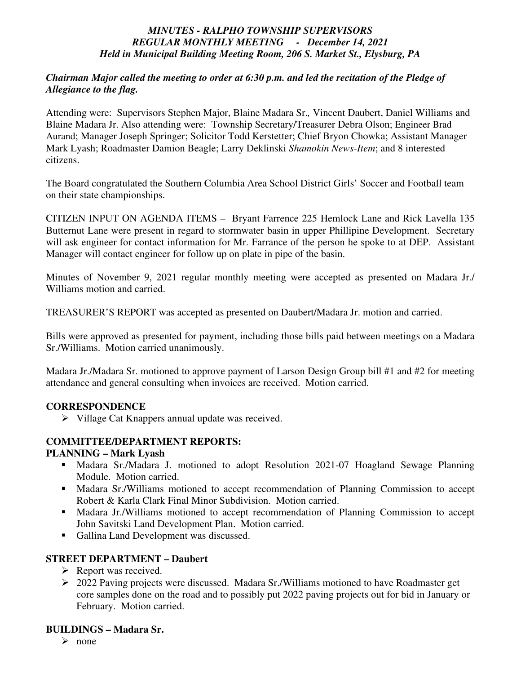## *MINUTES - RALPHO TOWNSHIP SUPERVISORS REGULAR MONTHLY MEETING - December 14, 2021 Held in Municipal Building Meeting Room, 206 S. Market St., Elysburg, PA*

#### *Chairman Major called the meeting to order at 6:30 p.m. and led the recitation of the Pledge of Allegiance to the flag.*

Attending were: Supervisors Stephen Major, Blaine Madara Sr.*,* Vincent Daubert, Daniel Williams and Blaine Madara Jr. Also attending were: Township Secretary/Treasurer Debra Olson; Engineer Brad Aurand; Manager Joseph Springer; Solicitor Todd Kerstetter; Chief Bryon Chowka; Assistant Manager Mark Lyash; Roadmaster Damion Beagle; Larry Deklinski *Shamokin News-Item*; and 8 interested citizens.

The Board congratulated the Southern Columbia Area School District Girls' Soccer and Football team on their state championships.

CITIZEN INPUT ON AGENDA ITEMS – Bryant Farrence 225 Hemlock Lane and Rick Lavella 135 Butternut Lane were present in regard to stormwater basin in upper Phillipine Development. Secretary will ask engineer for contact information for Mr. Farrance of the person he spoke to at DEP. Assistant Manager will contact engineer for follow up on plate in pipe of the basin.

Minutes of November 9, 2021 regular monthly meeting were accepted as presented on Madara Jr./ Williams motion and carried.

TREASURER'S REPORT was accepted as presented on Daubert/Madara Jr. motion and carried.

Bills were approved as presented for payment, including those bills paid between meetings on a Madara Sr./Williams. Motion carried unanimously.

Madara Jr./Madara Sr. motioned to approve payment of Larson Design Group bill #1 and #2 for meeting attendance and general consulting when invoices are received. Motion carried.

## **CORRESPONDENCE**

Village Cat Knappers annual update was received.

# **COMMITTEE/DEPARTMENT REPORTS:**

#### **PLANNING – Mark Lyash**

- Madara Sr./Madara J. motioned to adopt Resolution 2021-07 Hoagland Sewage Planning Module. Motion carried.
- Madara Sr./Williams motioned to accept recommendation of Planning Commission to accept Robert & Karla Clark Final Minor Subdivision. Motion carried.
- Madara Jr./Williams motioned to accept recommendation of Planning Commission to accept John Savitski Land Development Plan. Motion carried.
- Gallina Land Development was discussed.

## **STREET DEPARTMENT – Daubert**

- $\triangleright$  Report was received.
- 2022 Paving projects were discussed. Madara Sr./Williams motioned to have Roadmaster get core samples done on the road and to possibly put 2022 paving projects out for bid in January or February. Motion carried.

## **BUILDINGS – Madara Sr.**

 $\triangleright$  none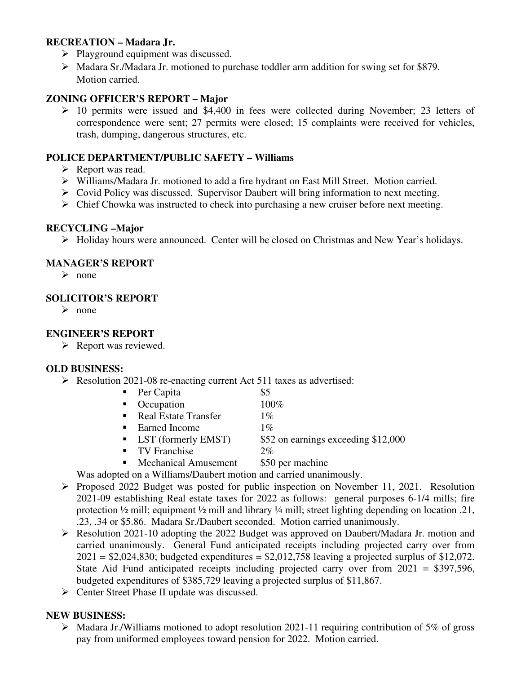## **RECREATION – Madara Jr.**

- $\triangleright$  Playground equipment was discussed.
- Madara Sr./Madara Jr. motioned to purchase toddler arm addition for swing set for \$879. Motion carried.

## **ZONING OFFICER'S REPORT – Major**

 $\geq 10$  permits were issued and \$4,400 in fees were collected during November; 23 letters of correspondence were sent; 27 permits were closed; 15 complaints were received for vehicles, trash, dumping, dangerous structures, etc.

## **POLICE DEPARTMENT/PUBLIC SAFETY – Williams**

- $\triangleright$  Report was read.
- $\triangleright$  Williams/Madara Jr. motioned to add a fire hydrant on East Mill Street. Motion carried.
- $\triangleright$  Covid Policy was discussed. Supervisor Daubert will bring information to next meeting.
- $\triangleright$  Chief Chowka was instructed to check into purchasing a new cruiser before next meeting.

## **RECYCLING –Major**

Holiday hours were announced. Center will be closed on Christmas and New Year's holidays.

## **MANAGER'S REPORT**

 $\triangleright$  none

#### **SOLICITOR'S REPORT**

 $\triangleright$  none

## **ENGINEER'S REPORT**

 $\triangleright$  Report was reviewed.

## **OLD BUSINESS:**

- Resolution 2021-08 re-enacting current Act 511 taxes as advertised:
	- Per Capita  $\$5$
	- $\blacksquare$  Occupation  $100\%$
	- Real Estate Transfer 1%
	- Earned Income  $1\%$
	- **LST** (formerly EMST) \$52 on earnings exceeding \$12,000
	- TV Franchise 2%
	- Mechanical Amusement \$50 per machine
	- Was adopted on a Williams/Daubert motion and carried unanimously.
- $\triangleright$  Proposed 2022 Budget was posted for public inspection on November 11, 2021. Resolution 2021-09 establishing Real estate taxes for 2022 as follows: general purposes 6-1/4 mills; fire protection ½ mill; equipment ½ mill and library ¼ mill; street lighting depending on location .21, .23, .34 or \$5.86. Madara Sr./Daubert seconded. Motion carried unanimously.
- Resolution 2021-10 adopting the 2022 Budget was approved on Daubert/Madara Jr. motion and carried unanimously. General Fund anticipated receipts including projected carry over from  $2021 = $2,024,830$ ; budgeted expenditures = \$2,012,758 leaving a projected surplus of \$12,072. State Aid Fund anticipated receipts including projected carry over from 2021 = \$397,596, budgeted expenditures of \$385,729 leaving a projected surplus of \$11,867.
- $\triangleright$  Center Street Phase II update was discussed.

## **NEW BUSINESS:**

 $\triangleright$  Madara Jr./Williams motioned to adopt resolution 2021-11 requiring contribution of 5% of gross pay from uniformed employees toward pension for 2022. Motion carried.